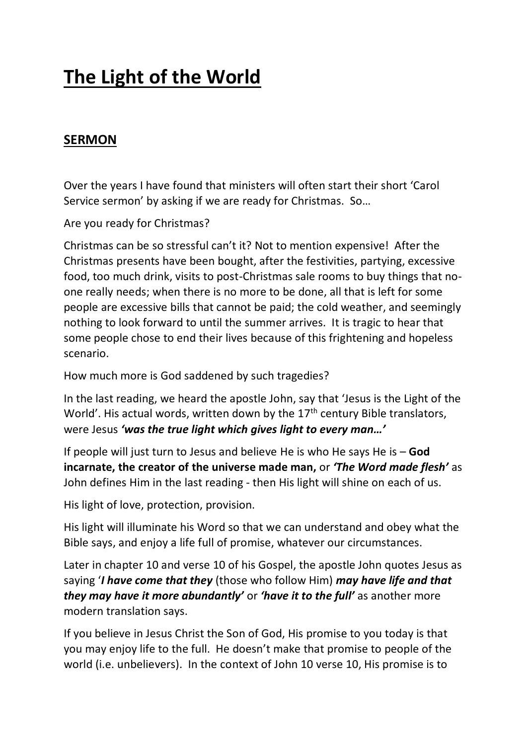## **The Light of the World**

## **SERMON**

Over the years I have found that ministers will often start their short 'Carol Service sermon' by asking if we are ready for Christmas. So…

Are you ready for Christmas?

Christmas can be so stressful can't it? Not to mention expensive! After the Christmas presents have been bought, after the festivities, partying, excessive food, too much drink, visits to post-Christmas sale rooms to buy things that noone really needs; when there is no more to be done, all that is left for some people are excessive bills that cannot be paid; the cold weather, and seemingly nothing to look forward to until the summer arrives. It is tragic to hear that some people chose to end their lives because of this frightening and hopeless scenario.

How much more is God saddened by such tragedies?

In the last reading, we heard the apostle John, say that 'Jesus is the Light of the World'. His actual words, written down by the 17<sup>th</sup> century Bible translators, were Jesus *'was the true light which gives light to every man…'*

If people will just turn to Jesus and believe He is who He says He is – **God incarnate, the creator of the universe made man,** or *'The Word made flesh'* as John defines Him in the last reading - then His light will shine on each of us.

His light of love, protection, provision.

His light will illuminate his Word so that we can understand and obey what the Bible says, and enjoy a life full of promise, whatever our circumstances.

Later in chapter 10 and verse 10 of his Gospel, the apostle John quotes Jesus as saying '*I have come that they* (those who follow Him) *may have life and that they may have it more abundantly'* or *'have it to the full'* as another more modern translation says.

If you believe in Jesus Christ the Son of God, His promise to you today is that you may enjoy life to the full. He doesn't make that promise to people of the world (i.e. unbelievers). In the context of John 10 verse 10, His promise is to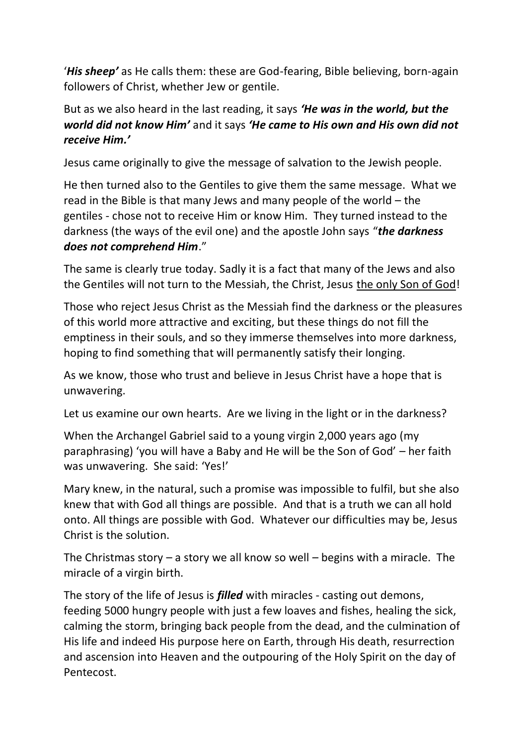'*His sheep'* as He calls them: these are God-fearing, Bible believing, born-again followers of Christ, whether Jew or gentile.

But as we also heard in the last reading, it says *'He was in the world, but the world did not know Him'* and it says *'He came to His own and His own did not receive Him.'*

Jesus came originally to give the message of salvation to the Jewish people.

He then turned also to the Gentiles to give them the same message. What we read in the Bible is that many Jews and many people of the world – the gentiles - chose not to receive Him or know Him. They turned instead to the darkness (the ways of the evil one) and the apostle John says "*the darkness does not comprehend Him*."

The same is clearly true today. Sadly it is a fact that many of the Jews and also the Gentiles will not turn to the Messiah, the Christ, Jesus the only Son of God!

Those who reject Jesus Christ as the Messiah find the darkness or the pleasures of this world more attractive and exciting, but these things do not fill the emptiness in their souls, and so they immerse themselves into more darkness, hoping to find something that will permanently satisfy their longing.

As we know, those who trust and believe in Jesus Christ have a hope that is unwavering.

Let us examine our own hearts. Are we living in the light or in the darkness?

When the Archangel Gabriel said to a young virgin 2,000 years ago (my paraphrasing) 'you will have a Baby and He will be the Son of God' – her faith was unwavering. She said: 'Yes!'

Mary knew, in the natural, such a promise was impossible to fulfil, but she also knew that with God all things are possible. And that is a truth we can all hold onto. All things are possible with God. Whatever our difficulties may be, Jesus Christ is the solution.

The Christmas story  $-$  a story we all know so well  $-$  begins with a miracle. The miracle of a virgin birth.

The story of the life of Jesus is *filled* with miracles - casting out demons, feeding 5000 hungry people with just a few loaves and fishes, healing the sick, calming the storm, bringing back people from the dead, and the culmination of His life and indeed His purpose here on Earth, through His death, resurrection and ascension into Heaven and the outpouring of the Holy Spirit on the day of Pentecost.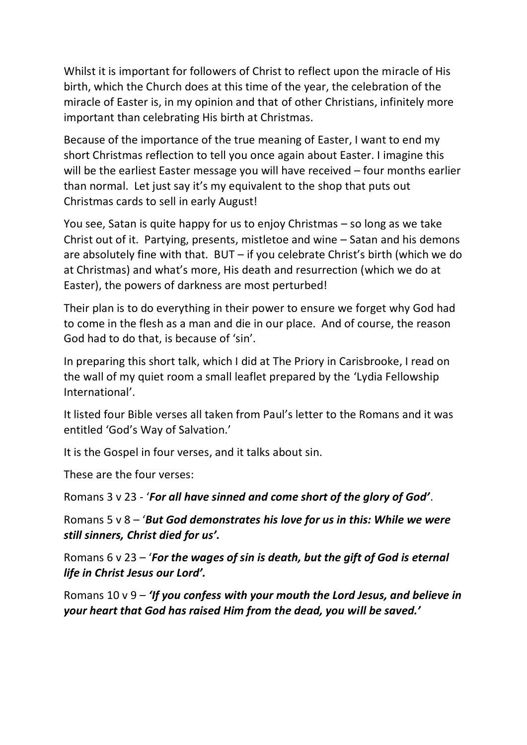Whilst it is important for followers of Christ to reflect upon the miracle of His birth, which the Church does at this time of the year, the celebration of the miracle of Easter is, in my opinion and that of other Christians, infinitely more important than celebrating His birth at Christmas.

Because of the importance of the true meaning of Easter, I want to end my short Christmas reflection to tell you once again about Easter. I imagine this will be the earliest Easter message you will have received – four months earlier than normal. Let just say it's my equivalent to the shop that puts out Christmas cards to sell in early August!

You see, Satan is quite happy for us to enjoy Christmas – so long as we take Christ out of it. Partying, presents, mistletoe and wine – Satan and his demons are absolutely fine with that. BUT – if you celebrate Christ's birth (which we do at Christmas) and what's more, His death and resurrection (which we do at Easter), the powers of darkness are most perturbed!

Their plan is to do everything in their power to ensure we forget why God had to come in the flesh as a man and die in our place. And of course, the reason God had to do that, is because of 'sin'.

In preparing this short talk, which I did at The Priory in Carisbrooke, I read on the wall of my quiet room a small leaflet prepared by the 'Lydia Fellowship International'.

It listed four Bible verses all taken from Paul's letter to the Romans and it was entitled 'God's Way of Salvation.'

It is the Gospel in four verses, and it talks about sin.

These are the four verses:

Romans 3 v 23 - '*For all have sinned and come short of the glory of God'*.

Romans 5 v 8 – '*But God demonstrates his love for us in this: While we were still sinners, Christ died for us'.*

Romans 6 v 23 – '*For the wages of sin is death, but the gift of God is eternal life in Christ Jesus our Lord'.*

Romans 10 v 9 – *'If you confess with your mouth the Lord Jesus, and believe in your heart that God has raised Him from the dead, you will be saved.'*